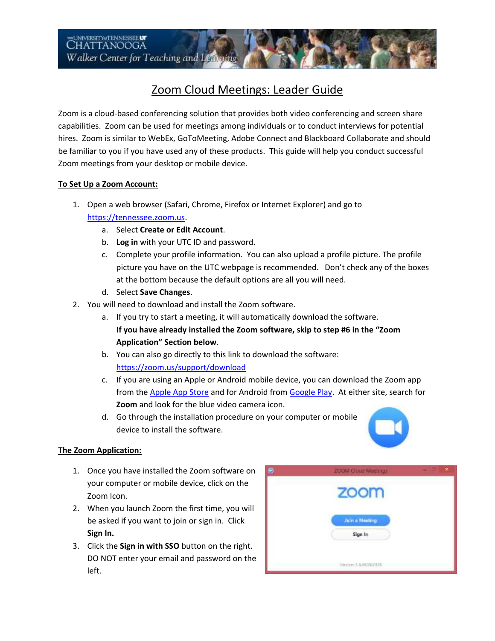# Zoom Cloud Meetings: Leader Guide

 be familiar to you if you have used any of these products. This guide will help you conduct successful Zoom is a cloud-based conferencing solution that provides both video conferencing and screen share capabilities. Zoom can be used for meetings among individuals or to conduct interviews for potential hires. Zoom is similar to WebEx, GoToMeeting, Adobe Connect and Blackboard Collaborate and should Zoom meetings from your desktop or mobile device.

## **To Set Up a Zoom Account:**

- 1. Open a web browser (Safari, Chrome, Firefox or Internet Explorer) and go to [https://tennessee.zoom.us.](https://tennessee.zoom.us/)
	- a. Select **Create or Edit Account**.
	- b. **Log in** with your UTC ID and password.
	- c. Complete your profile information. You can also upload a profile picture. The profile at the bottom because the default options are all you will need. picture you have on the UTC webpage is recommended. Don't check any of the boxes
	- d. Select **Save Changes**.
- 2. You will need to download and install the Zoom software.
	- a. If you try to start a meeting, it will automatically download the software. **If you have already installed the Zoom software, skip to step #6 in the "Zoom !pplication" Section below**.
	- b. You can also go directly to this link to download the software: <https://zoom.us/support/download>
	- c. If you are using an Apple or Android mobile device, you can download the Zoom app from th[e Apple App Store a](https://itunes.apple.com/us/app/id546505307)nd for Android from [Google Play.](https://play.google.com/store/apps/details?id=us.zoom.videomeetings) At either site, search for **Zoom** and look for the blue video camera icon.
	- d. Go through the installation procedure on your computer or mobile device to install the software.



## **The Zoom Application:**

- 1. Once you have installed the Zoom software on your computer or mobile device, click on the Zoom Icon.
- 2. When you launch Zoom the first time, you will be asked if you want to join or sign in. Click **Sign In.**
- 3. Click the **Sign in with SSO** button on the right. DO NOT enter your email and password on the left.

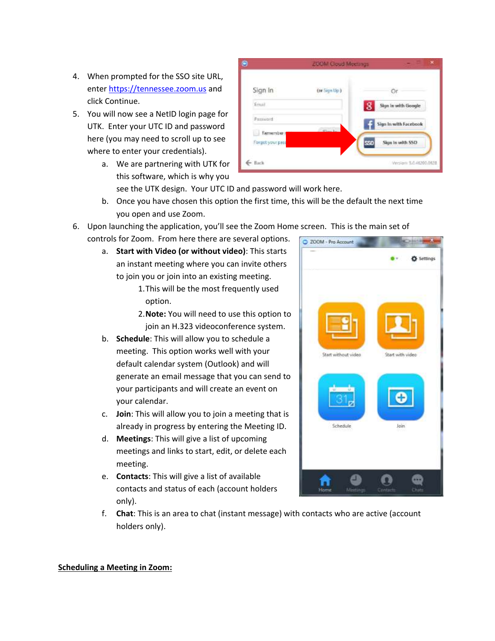- 4. When prompted for the SSO site URL, ente[r https://tennessee.zoom.us a](https://tennessee.zoom.us/)nd click Continue.
- 5. You will now see a NetID login page for UTK. Enter your UTC ID and password here (you may need to scroll up to see where to enter your credentials).
	- a. We are partnering with UTK for this software, which is why you



see the UTK design. Your UTC ID and password will work here.

- b. Once you have chosen this option the first time, this will be the default the next time you open and use Zoom.
- 6. Upon launching the application, you'll see the Zoom Home screen. This is the main set of
	- controls for Zoom. From here there are several options.
		- a. **Start with Video (or without video)**: This starts an instant meeting where you can invite others to join you or join into an existing meeting.
			- 1.This will be the most frequently used option.
			- 2.**Note:** You will need to use this option to join an H.323 videoconference system.
		- meeting. This option works well with your b. **Schedule**: This will allow you to schedule a default calendar system (Outlook) and will generate an email message that you can send to your participants and will create an event on your calendar.
		- c. **Join**: This will allow you to join a meeting that is already in progress by entering the Meeting ID.
		- d. **Meetings**: This will give a list of upcoming meetings and links to start, edit, or delete each meeting.
		- e. **Contacts**: This will give a list of available contacts and status of each (account holders only).



f. **Chat**: This is an area to chat (instant message) with contacts who are active (account holders only).

#### **Scheduling a Meeting in Zoom:**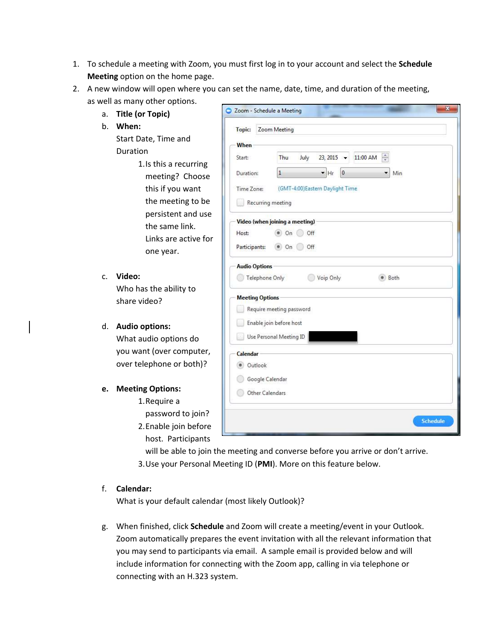- **Meeting** option on the home page. 1. To schedule a meeting with Zoom, you must first log in to your account and select the **Schedule**
- 2. A new window will open where you can set the name, date, time, and duration of the meeting, as well as many other options.

When

2 Zoom - Schedule a Meeting

Topic: Zoom Meeting

- a. **Title (or Topic)**
- b. **When:**

 Duration Start Date, Time and

- 1.Is this a recurring meeting? Choose this if you want the meeting to be persistent and use the same link. Links are active for one year.
- c. **Video:**

Who has the ability to share video?

## d. **Audio options:**

What audio options do you want (over computer, over telephone or both)?

## **e. Meeting Options:**

- 1.Require a
- password to join?
- 2.Enable join before host. Participants

| Duration:                      | $\mathbf{1}$                    | $\blacktriangleright$ Hr<br>$\pmb{0}$ |  | Min  |  |
|--------------------------------|---------------------------------|---------------------------------------|--|------|--|
| Time Zone:                     | (GMT-4:00)Eastern Daylight Time |                                       |  |      |  |
| Recurring meeting              |                                 |                                       |  |      |  |
| Video (when joining a meeting) |                                 |                                       |  |      |  |
| Host:                          | On                              | Off                                   |  |      |  |
| Participants:                  | $\bullet$ On Off                |                                       |  |      |  |
| <b>Audio Options</b>           |                                 |                                       |  |      |  |
| Telephone Only                 |                                 | Voip Only                             |  | Both |  |
| <b>Meeting Options</b>         |                                 |                                       |  |      |  |
|                                | Require meeting password        |                                       |  |      |  |
|                                | Enable join before host         |                                       |  |      |  |
| 81                             | Use Personal Meeting ID         |                                       |  |      |  |
| Calendar                       |                                 |                                       |  |      |  |
| Outlook<br>$\bullet$           |                                 |                                       |  |      |  |
| Google Calendar                |                                 |                                       |  |      |  |
|                                | Other Calendars                 |                                       |  |      |  |

 $\mathbf{x}$ 

will be able to join the meeting and converse before you arrive or don't arrive. 3.Use your Personal Meeting ID (**PMI**). More on this feature below.

## f. **Calendar:**

What is your default calendar (most likely Outlook)?

g. When finished, click **Schedule** and Zoom will create a meeting/event in your Outlook. Zoom automatically prepares the event invitation with all the relevant information that you may send to participants via email. A sample email is provided below and will include information for connecting with the Zoom app, calling in via telephone or connecting with an H.323 system.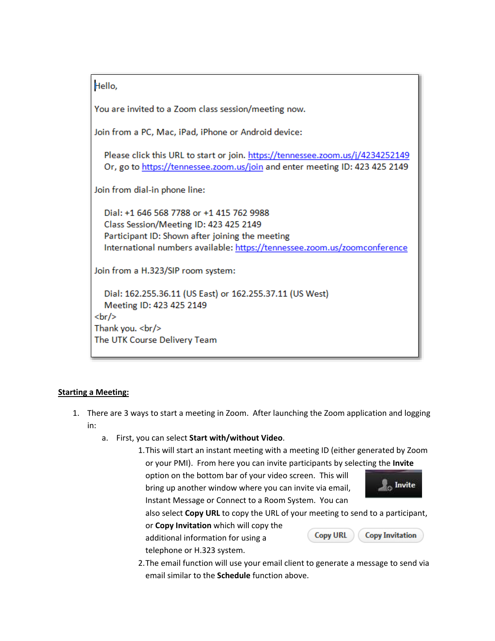Hello,

You are invited to a Zoom class session/meeting now.

Join from a PC, Mac, iPad, iPhone or Android device:

Please click this URL to start or join. https://tennessee.zoom.us/j/4234252149 Or, go to https://tennessee.zoom.us/join and enter meeting ID: 423 425 2149

Join from dial-in phone line:

Dial: +1 646 568 7788 or +1 415 762 9988 Class Session/Meeting ID: 423 425 2149 Participant ID: Shown after joining the meeting International numbers available: https://tennessee.zoom.us/zoomconference

Join from a H.323/SIP room system:

Dial: 162.255.36.11 (US East) or 162.255.37.11 (US West) Meeting ID: 423 425 2149 <br/>br Thank you. <br/> The UTK Course Delivery Team

## **Starting a Meeting:**

- 1. There are 3 ways to start a meeting in Zoom. After launching the Zoom application and logging in:
	- a. First, you can select **Start with/without Video**.
		- or your PMI). From here you can invite participants by selecting the **Invite**  1.This will start an instant meeting with a meeting ID (either generated by Zoom

 Instant Message or Connect to a Room System. You can option on the bottom bar of your video screen. This will bring up another window where you can invite via email,



**Copy Invitation** 

also select **Copy URL** to copy the URL of your meeting to send to a participant,

**Copy URL** 

or **Copy Invitation** which will copy the additional information for using a telephone or H.323 system.

2.The email function will use your email client to generate a message to send via email similar to the **Schedule** function above.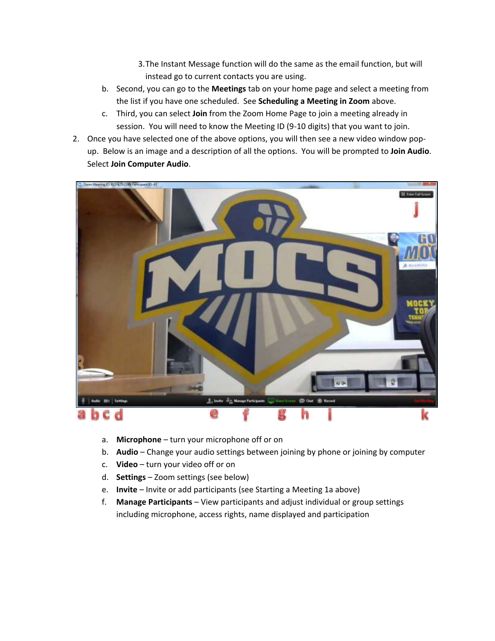- 3.The Instant Message function will do the same as the email function, but will instead go to current contacts you are using.
- b. Second, you can go to the **Meetings** tab on your home page and select a meeting from the list if you have one scheduled. See **Scheduling a Meeting in Zoom** above.
- c. Third, you can select **Join** from the Zoom Home Page to join a meeting already in session. You will need to know the Meeting ID (9-10 digits) that you want to join.
- 2. Once you have selected one of the above options, you will then see a new video window popup. Below is an image and a description of all the options. You will be prompted to **Join Audio**. Select **Join Computer Audio**.



- a. **Microphone** turn your microphone off or on
- b. Audio Change your audio settings between joining by phone or joining by computer
- c. **Video**  turn your video off or on
- d. **Settings**  Zoom settings (see below)
- e. **Invite** Invite or add participants (see Starting a Meeting 1a above)
- f. **Manage Participants** View participants and adjust individual or group settings including microphone, access rights, name displayed and participation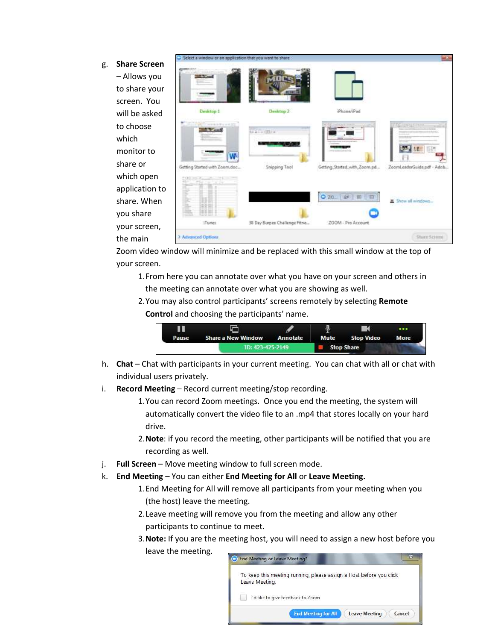- g. **Share Screen** 
	- screen. You – Allows you to share your will be asked to choose which monitor to share or which open application to share. When you share your screen, the main

| <b>Carried</b>                                        |                               |                                 |                            |
|-------------------------------------------------------|-------------------------------|---------------------------------|----------------------------|
| Desktop 1                                             | Desktop 2                     | Phone/iPad                      |                            |
| ability service between a deli-<br><b>Carl Avenue</b> | 1.443333344                   |                                 | <b>TE BULLET</b><br>Hп     |
| W<br>Getting Started with Zoom.doc                    | <b>Snipping Tool</b>          | Getting_Started_with_Zoom.pd.,. | ZoomLeaderGuide.pdf - Adob |
| I                                                     |                               | $Q$ 20.<br>顺<br>田<br>t3         | E Show all windows         |
| iTunes                                                | 30 Day Burpes Challenge Fitne | ZOOM - Pro Account              |                            |
| > Advanced Options                                    |                               |                                 | Sture Scritts              |

Zoom video window will minimize and be replaced with this small window at the top of your screen.

- 1.From here you can annotate over what you have on your screen and others in the meeting can annotate over what you are showing as well.
- 2.You may also control participants' screens remotely by selecting **Remote Control** and choosing the participants' name.



- h. **Chat**  Chat with participants in your current meeting. You can chat with all or chat with individual users privately.
- i. **Record Meeting**  Record current meeting/stop recording.
	- 1.You can record Zoom meetings. Once you end the meeting, the system will automatically convert the video file to an .mp4 that stores locally on your hard drive.
	- 2.**Note**: if you record the meeting, other participants will be notified that you are recording as well.
- j. **Full Screen**  Move meeting window to full screen mode.
- k. **End Meeting**  You can either **End Meeting for All** or **Leave Meeting.** 
	- 1.End Meeting for All will remove all participants from your meeting when you (the host) leave the meeting.
	- 2.Leave meeting will remove you from the meeting and allow any other participants to continue to meet.
	- 3.**Note:** If you are the meeting host, you will need to assign a new host before you leave the meeting.

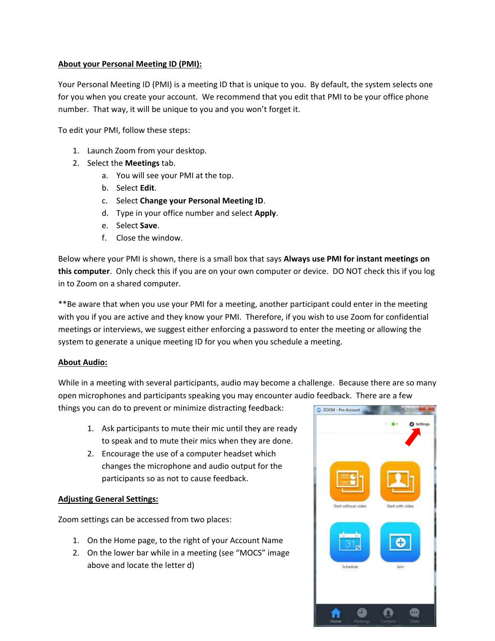#### **About your Personal Meeting ID (PMI):**

Your Personal Meeting ID (PMI) is a meeting ID that is unique to you. By default, the system selects one for you when you create your account. We recommend that you edit that PMI to be your office phone number. That way, it will be unique to you and you won't forget it.

To edit your PMI, follow these steps:

- 1. Launch Zoom from your desktop.
- 2. Select the **Meetings** tab.
	- a. You will see your PMI at the top.
	- b. Select **Edit**.
	- c. Select **Change your Personal Meeting ID**.
	- d. Type in your office number and select **Apply**.
	- e. Select **Save**.
	- f. Close the window.

Below where your PMI is shown, there is a small box that says **Always use PMI for instant meetings on this computer**. Only check this if you are on your own computer or device. DO NOT check this if you log in to Zoom on a shared computer.

\*\*Be aware that when you use your PMI for a meeting, another participant could enter in the meeting with you if you are active and they know your PMI. Therefore, if you wish to use Zoom for confidential meetings or interviews, we suggest either enforcing a password to enter the meeting or allowing the system to generate a unique meeting ID for you when you schedule a meeting.

#### **About Audio:**

 While in a meeting with several participants, audio may become a challenge. Because there are so many open microphones and participants speaking you may encounter audio feedback. There are a few

things you can do to prevent or minimize distracting feedback:

- 1. Ask participants to mute their mic until they are ready to speak and to mute their mics when they are done.
- 2. Encourage the use of a computer headset which changes the microphone and audio output for the participants so as not to cause feedback.

#### **Adjusting General Settings:**

Zoom settings can be accessed from two places:

- 1. On the Home page, to the right of your Account Name
- 2. On the lower bar while in a meeting (see "MOCS" image above and locate the letter d)